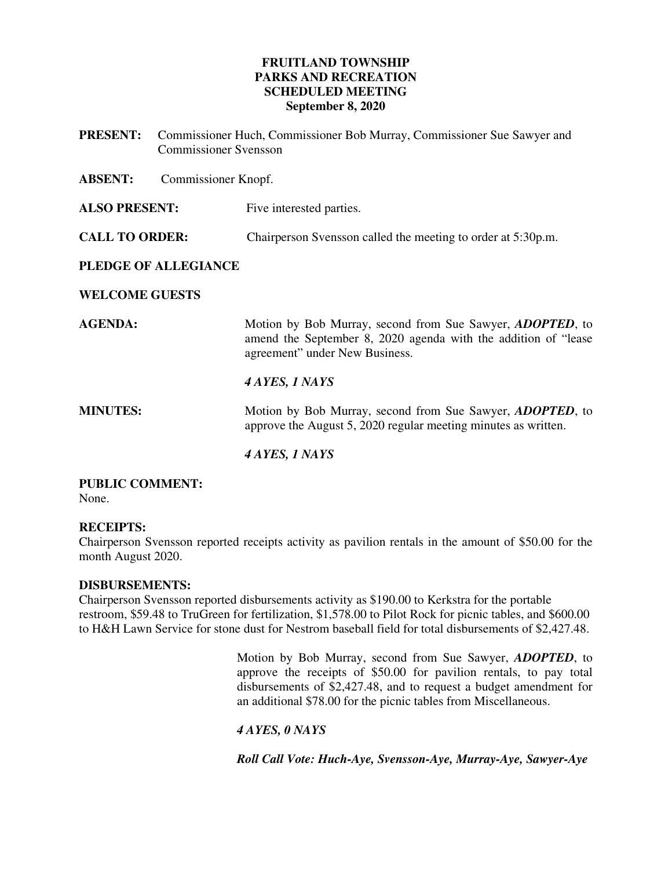## **FRUITLAND TOWNSHIP PARKS AND RECREATION SCHEDULED MEETING September 8, 2020**

- **PRESENT:** Commissioner Huch, Commissioner Bob Murray, Commissioner Sue Sawyer and Commissioner Svensson
- **ABSENT:** Commissioner Knopf.
- **ALSO PRESENT:** Five interested parties.
- **CALL TO ORDER:** Chairperson Svensson called the meeting to order at 5:30p.m.

## **PLEDGE OF ALLEGIANCE**

## **WELCOME GUESTS**

**AGENDA:** Motion by Bob Murray, second from Sue Sawyer, *ADOPTED*, to amend the September 8, 2020 agenda with the addition of "lease agreement" under New Business.

## *4 AYES, 1 NAYS*

**MINUTES:** Motion by Bob Murray, second from Sue Sawyer, *ADOPTED*, to approve the August 5, 2020 regular meeting minutes as written.

## *4 AYES, 1 NAYS*

#### **PUBLIC COMMENT:**  None.

## **RECEIPTS:**

Chairperson Svensson reported receipts activity as pavilion rentals in the amount of \$50.00 for the month August 2020.

## **DISBURSEMENTS:**

Chairperson Svensson reported disbursements activity as \$190.00 to Kerkstra for the portable restroom, \$59.48 to TruGreen for fertilization, \$1,578.00 to Pilot Rock for picnic tables, and \$600.00 to H&H Lawn Service for stone dust for Nestrom baseball field for total disbursements of \$2,427.48.

> Motion by Bob Murray, second from Sue Sawyer, *ADOPTED*, to approve the receipts of \$50.00 for pavilion rentals, to pay total disbursements of \$2,427.48, and to request a budget amendment for an additional \$78.00 for the picnic tables from Miscellaneous.

## *4 AYES, 0 NAYS*

*Roll Call Vote: Huch-Aye, Svensson-Aye, Murray-Aye, Sawyer-Aye*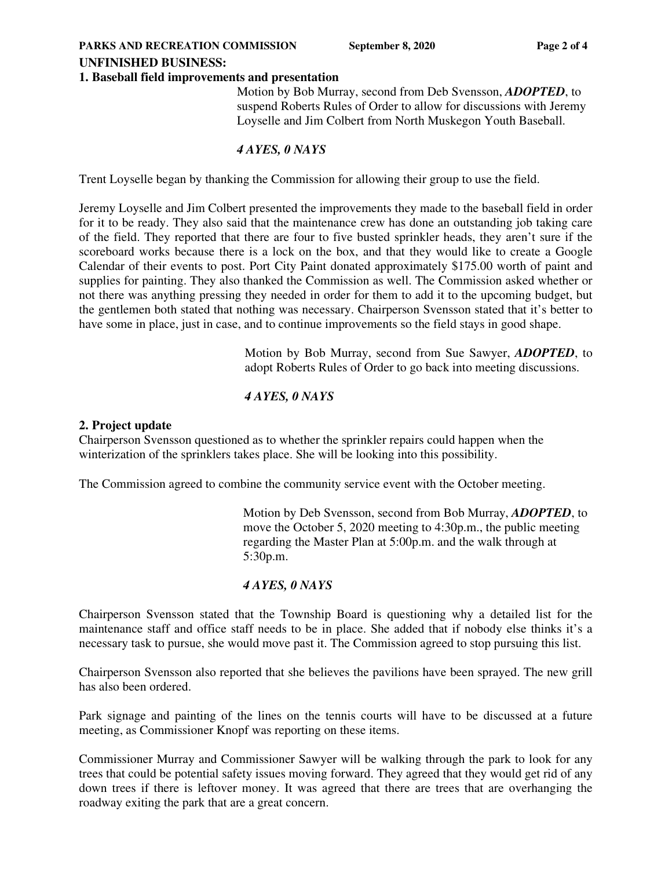#### **UNFINISHED BUSINESS:**

#### **1. Baseball field improvements and presentation**

Motion by Bob Murray, second from Deb Svensson, *ADOPTED*, to suspend Roberts Rules of Order to allow for discussions with Jeremy Loyselle and Jim Colbert from North Muskegon Youth Baseball.

## *4 AYES, 0 NAYS*

Trent Loyselle began by thanking the Commission for allowing their group to use the field.

Jeremy Loyselle and Jim Colbert presented the improvements they made to the baseball field in order for it to be ready. They also said that the maintenance crew has done an outstanding job taking care of the field. They reported that there are four to five busted sprinkler heads, they aren't sure if the scoreboard works because there is a lock on the box, and that they would like to create a Google Calendar of their events to post. Port City Paint donated approximately \$175.00 worth of paint and supplies for painting. They also thanked the Commission as well. The Commission asked whether or not there was anything pressing they needed in order for them to add it to the upcoming budget, but the gentlemen both stated that nothing was necessary. Chairperson Svensson stated that it's better to have some in place, just in case, and to continue improvements so the field stays in good shape.

> Motion by Bob Murray, second from Sue Sawyer, *ADOPTED*, to adopt Roberts Rules of Order to go back into meeting discussions.

## *4 AYES, 0 NAYS*

#### **2. Project update**

Chairperson Svensson questioned as to whether the sprinkler repairs could happen when the winterization of the sprinklers takes place. She will be looking into this possibility.

The Commission agreed to combine the community service event with the October meeting.

 Motion by Deb Svensson, second from Bob Murray, *ADOPTED*, to move the October 5, 2020 meeting to 4:30p.m., the public meeting regarding the Master Plan at 5:00p.m. and the walk through at 5:30p.m.

#### *4 AYES, 0 NAYS*

Chairperson Svensson stated that the Township Board is questioning why a detailed list for the maintenance staff and office staff needs to be in place. She added that if nobody else thinks it's a necessary task to pursue, she would move past it. The Commission agreed to stop pursuing this list.

Chairperson Svensson also reported that she believes the pavilions have been sprayed. The new grill has also been ordered.

Park signage and painting of the lines on the tennis courts will have to be discussed at a future meeting, as Commissioner Knopf was reporting on these items.

Commissioner Murray and Commissioner Sawyer will be walking through the park to look for any trees that could be potential safety issues moving forward. They agreed that they would get rid of any down trees if there is leftover money. It was agreed that there are trees that are overhanging the roadway exiting the park that are a great concern.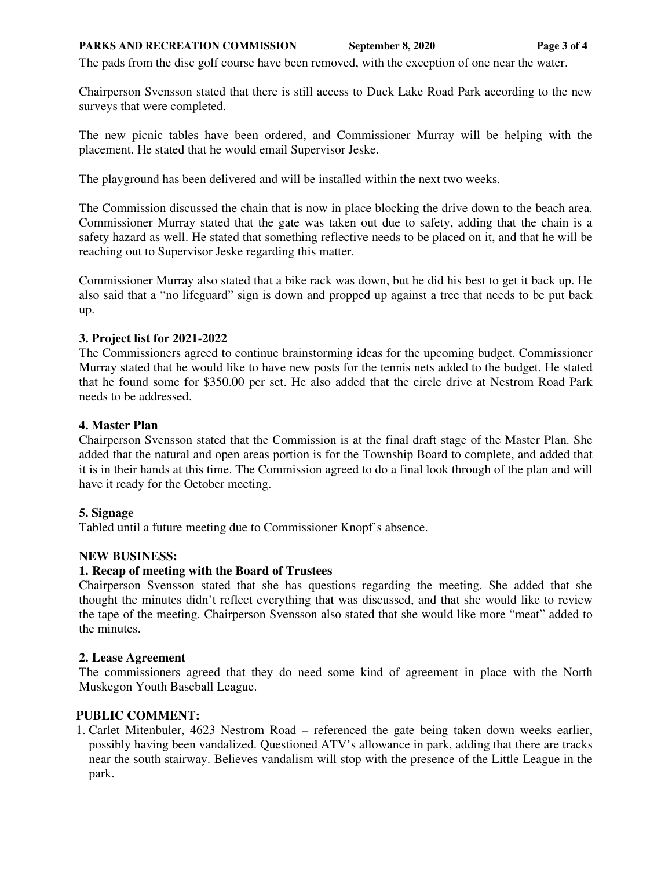#### **PARKS AND RECREATION COMMISSION** September 8, 2020 Page 3 of 4

The pads from the disc golf course have been removed, with the exception of one near the water.

Chairperson Svensson stated that there is still access to Duck Lake Road Park according to the new surveys that were completed.

The new picnic tables have been ordered, and Commissioner Murray will be helping with the placement. He stated that he would email Supervisor Jeske.

The playground has been delivered and will be installed within the next two weeks.

The Commission discussed the chain that is now in place blocking the drive down to the beach area. Commissioner Murray stated that the gate was taken out due to safety, adding that the chain is a safety hazard as well. He stated that something reflective needs to be placed on it, and that he will be reaching out to Supervisor Jeske regarding this matter.

Commissioner Murray also stated that a bike rack was down, but he did his best to get it back up. He also said that a "no lifeguard" sign is down and propped up against a tree that needs to be put back up.

## **3. Project list for 2021-2022**

The Commissioners agreed to continue brainstorming ideas for the upcoming budget. Commissioner Murray stated that he would like to have new posts for the tennis nets added to the budget. He stated that he found some for \$350.00 per set. He also added that the circle drive at Nestrom Road Park needs to be addressed.

## **4. Master Plan**

Chairperson Svensson stated that the Commission is at the final draft stage of the Master Plan. She added that the natural and open areas portion is for the Township Board to complete, and added that it is in their hands at this time. The Commission agreed to do a final look through of the plan and will have it ready for the October meeting.

## **5. Signage**

Tabled until a future meeting due to Commissioner Knopf's absence.

#### **NEW BUSINESS:**

#### **1. Recap of meeting with the Board of Trustees**

Chairperson Svensson stated that she has questions regarding the meeting. She added that she thought the minutes didn't reflect everything that was discussed, and that she would like to review the tape of the meeting. Chairperson Svensson also stated that she would like more "meat" added to the minutes.

#### **2. Lease Agreement**

The commissioners agreed that they do need some kind of agreement in place with the North Muskegon Youth Baseball League.

## **PUBLIC COMMENT:**

1. Carlet Mitenbuler, 4623 Nestrom Road – referenced the gate being taken down weeks earlier, possibly having been vandalized. Questioned ATV's allowance in park, adding that there are tracks near the south stairway. Believes vandalism will stop with the presence of the Little League in the park.